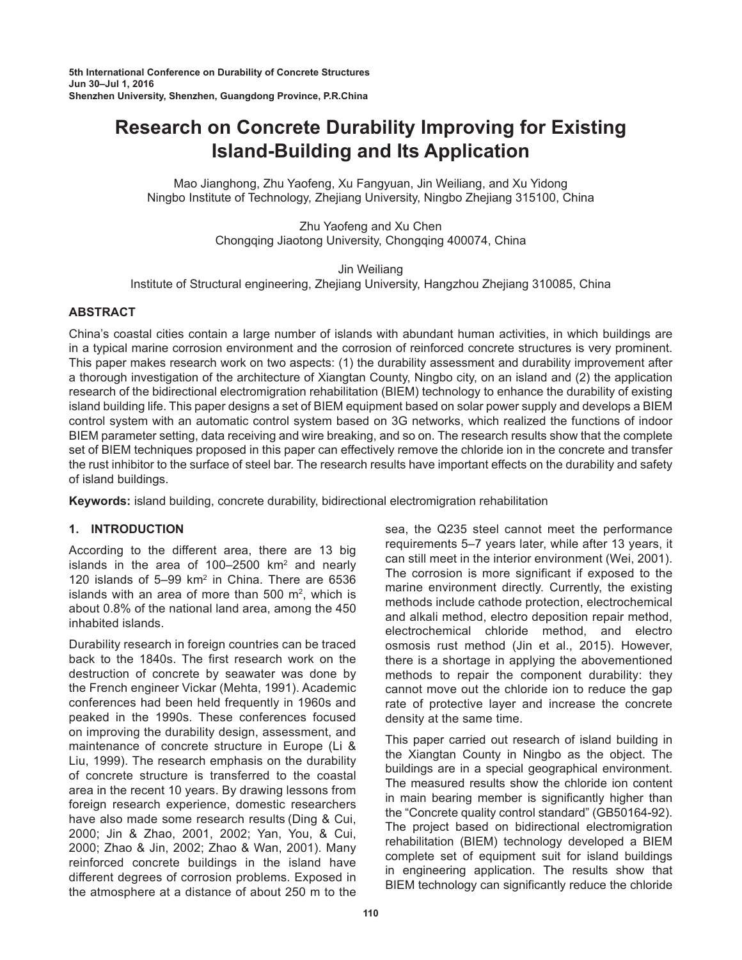# **Research on Concrete Durability Improving for Existing Island-Building and Its Application**

Mao Jianghong, Zhu Yaofeng, Xu Fangyuan, Jin Weiliang, and Xu Yidong Ningbo Institute of Technology, Zhejiang University, Ningbo Zhejiang 315100, China

> Zhu Yaofeng and Xu Chen Chongqing Jiaotong University, Chongqing 400074, China

> > Jin Weiliang

Institute of Structural engineering, Zhejiang University, Hangzhou Zhejiang 310085, China

# **ABSTRACT**

China's coastal cities contain a large number of islands with abundant human activities, in which buildings are in a typical marine corrosion environment and the corrosion of reinforced concrete structures is very prominent. This paper makes research work on two aspects: (1) the durability assessment and durability improvement after a thorough investigation of the architecture of Xiangtan County, Ningbo city, on an island and (2) the application research of the bidirectional electromigration rehabilitation (BIEM) technology to enhance the durability of existing island building life. This paper designs a set of BIEM equipment based on solar power supply and develops a BIEM control system with an automatic control system based on 3G networks, which realized the functions of indoor BIEM parameter setting, data receiving and wire breaking, and so on. The research results show that the complete set of BIEM techniques proposed in this paper can effectively remove the chloride ion in the concrete and transfer the rust inhibitor to the surface of steel bar. The research results have important effects on the durability and safety of island buildings.

**Keywords:** island building, concrete durability, bidirectional electromigration rehabilitation

# **1. INTRODUCTION**

According to the different area, there are 13 big islands in the area of 100–2500  $km^2$  and nearly 120 islands of  $5-99$  km<sup>2</sup> in China. There are  $6536$ islands with an area of more than 500  $m^2$ , which is about 0.8% of the national land area, among the 450 inhabited islands.

Durability research in foreign countries can be traced back to the 1840s. The first research work on the destruction of concrete by seawater was done by the French engineer Vickar (Mehta, 1991). Academic conferences had been held frequently in 1960s and peaked in the 1990s. These conferences focused on improving the durability design, assessment, and maintenance of concrete structure in Europe (Li & Liu, 1999). The research emphasis on the durability of concrete structure is transferred to the coastal area in the recent 10 years. By drawing lessons from foreign research experience, domestic researchers have also made some research results (Ding & Cui, 2000; Jin & Zhao, 2001, 2002; Yan, You, & Cui, 2000; Zhao & Jin, 2002; Zhao & Wan, 2001). Many reinforced concrete buildings in the island have different degrees of corrosion problems. Exposed in the atmosphere at a distance of about 250 m to the

sea, the Q235 steel cannot meet the performance requirements 5–7 years later, while after 13 years, it can still meet in the interior environment (Wei, 2001). The corrosion is more significant if exposed to the marine environment directly. Currently, the existing methods include cathode protection, electrochemical and alkali method, electro deposition repair method, electrochemical chloride method, and electro osmosis rust method (Jin et al., 2015). However, there is a shortage in applying the abovementioned methods to repair the component durability: they cannot move out the chloride ion to reduce the gap rate of protective layer and increase the concrete density at the same time.

This paper carried out research of island building in the Xiangtan County in Ningbo as the object. The buildings are in a special geographical environment. The measured results show the chloride ion content in main bearing member is significantly higher than the "Concrete quality control standard" (GB50164-92). The project based on bidirectional electromigration rehabilitation (BIEM) technology developed a BIEM complete set of equipment suit for island buildings in engineering application. The results show that BIEM technology can significantly reduce the chloride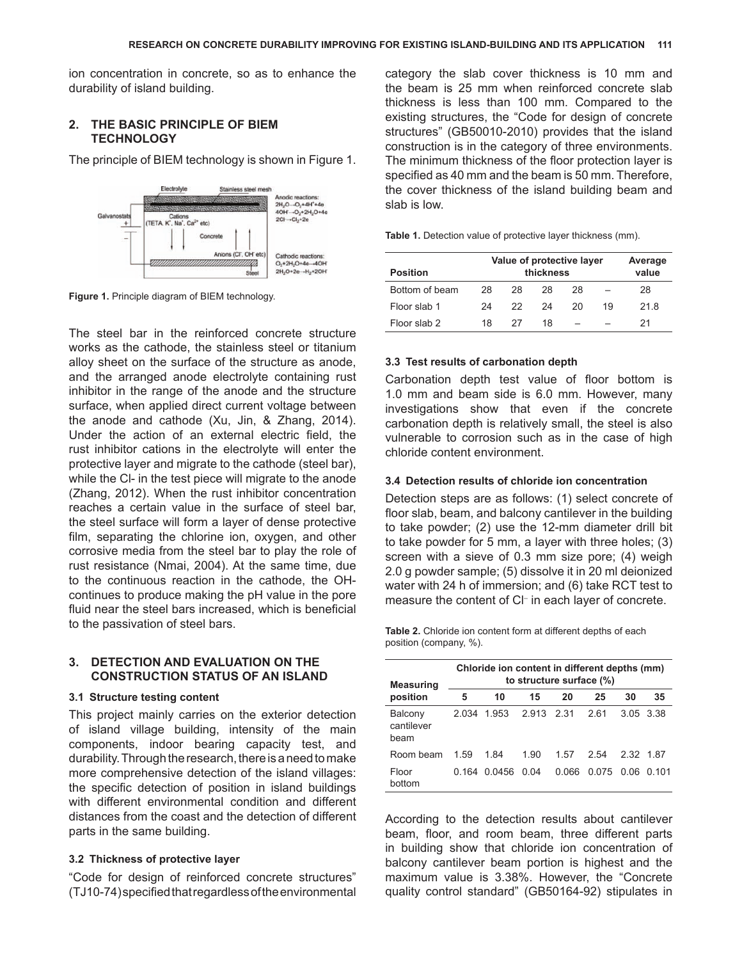ion concentration in concrete, so as to enhance the durability of island building.

#### **2. THE BASIC PRINCIPLE OF BIEM TECHNOLOGY**

The principle of BIEM technology is shown in Figure 1.



**Figure 1.** Principle diagram of BIEM technology.

The steel bar in the reinforced concrete structure works as the cathode, the stainless steel or titanium alloy sheet on the surface of the structure as anode, and the arranged anode electrolyte containing rust inhibitor in the range of the anode and the structure surface, when applied direct current voltage between the anode and cathode (Xu, Jin, & Zhang, 2014). Under the action of an external electric field, the rust inhibitor cations in the electrolyte will enter the protective layer and migrate to the cathode (steel bar), while the Cl- in the test piece will migrate to the anode (Zhang, 2012). When the rust inhibitor concentration reaches a certain value in the surface of steel bar, the steel surface will form a layer of dense protective film, separating the chlorine ion, oxygen, and other corrosive media from the steel bar to play the role of rust resistance (Nmai, 2004). At the same time, due to the continuous reaction in the cathode, the OHcontinues to produce making the pH value in the pore fluid near the steel bars increased, which is beneficial to the passivation of steel bars.

#### **3. DETECTION AND EVALUATION ON THE CONSTRUCTION STATUS OF AN ISLAND**

#### **3.1 Structure testing content**

This project mainly carries on the exterior detection of island village building, intensity of the main components, indoor bearing capacity test, and durability. Through the research, there is a need to make more comprehensive detection of the island villages: the specific detection of position in island buildings with different environmental condition and different distances from the coast and the detection of different parts in the same building.

#### **3.2 Thickness of protective layer**

"Code for design of reinforced concrete structures" (TJ10-74) specified that regardless of the environmental category the slab cover thickness is 10 mm and the beam is 25 mm when reinforced concrete slab thickness is less than 100 mm. Compared to the existing structures, the "Code for design of concrete structures" (GB50010-2010) provides that the island construction is in the category of three environments. The minimum thickness of the floor protection layer is specified as 40 mm and the beam is 50 mm. Therefore, the cover thickness of the island building beam and slab is low.

|  | Value of protective laver | A |
|--|---------------------------|---|
|  |                           |   |

**Table 1.** Detection value of protective layer thickness (mm).

| <b>Position</b> | Value of protective layer<br>thickness |     |    |    |    | Average<br>value |  |
|-----------------|----------------------------------------|-----|----|----|----|------------------|--|
| Bottom of beam  | 28                                     | 28  | 28 | 28 |    | 28               |  |
| Floor slab 1    | 24                                     | 22. | 24 | 20 | 19 | 218              |  |
| Floor slab 2    | 18                                     | 27  | 18 |    |    | 21               |  |

#### **3.3 Test results of carbonation depth**

Carbonation depth test value of floor bottom is 1.0 mm and beam side is 6.0 mm. However, many investigations show that even if the concrete carbonation depth is relatively small, the steel is also vulnerable to corrosion such as in the case of high chloride content environment.

# **3.4 Detection results of chloride ion concentration**

Detection steps are as follows: (1) select concrete of floor slab, beam, and balcony cantilever in the building to take powder; (2) use the 12-mm diameter drill bit to take powder for 5 mm, a layer with three holes; (3) screen with a sieve of 0.3 mm size pore; (4) weigh 2.0 g powder sample; (5) dissolve it in 20 ml deionized water with 24 h of immersion; and (6) take RCT test to measure the content of Cl- in each layer of concrete.

**Table 2.** Chloride ion content form at different depths of each position (company, %).

| <b>Measuring</b>              | Chloride ion content in different depths (mm)<br>to structure surface (%) |        |            |       |       |           |           |  |  |
|-------------------------------|---------------------------------------------------------------------------|--------|------------|-------|-------|-----------|-----------|--|--|
| position                      | 5                                                                         | 10     | 15         | 20    | 25    | 30        | 35        |  |  |
| Balcony<br>cantilever<br>beam | 2.034                                                                     | 1.953  | 2.913 2.31 |       | 261   |           | 3.05 3.38 |  |  |
| Room beam                     | 1.59                                                                      | 1.84   | 1.90       | 1.57  | 2.54  | 2 32 1 87 |           |  |  |
| Floor<br>bottom               | 0.164                                                                     | 0.0456 | 0 04       | 0.066 | 0.075 | 0.06      | 0 101     |  |  |

According to the detection results about cantilever beam, floor, and room beam, three different parts in building show that chloride ion concentration of balcony cantilever beam portion is highest and the maximum value is 3.38%. However, the "Concrete quality control standard" (GB50164-92) stipulates in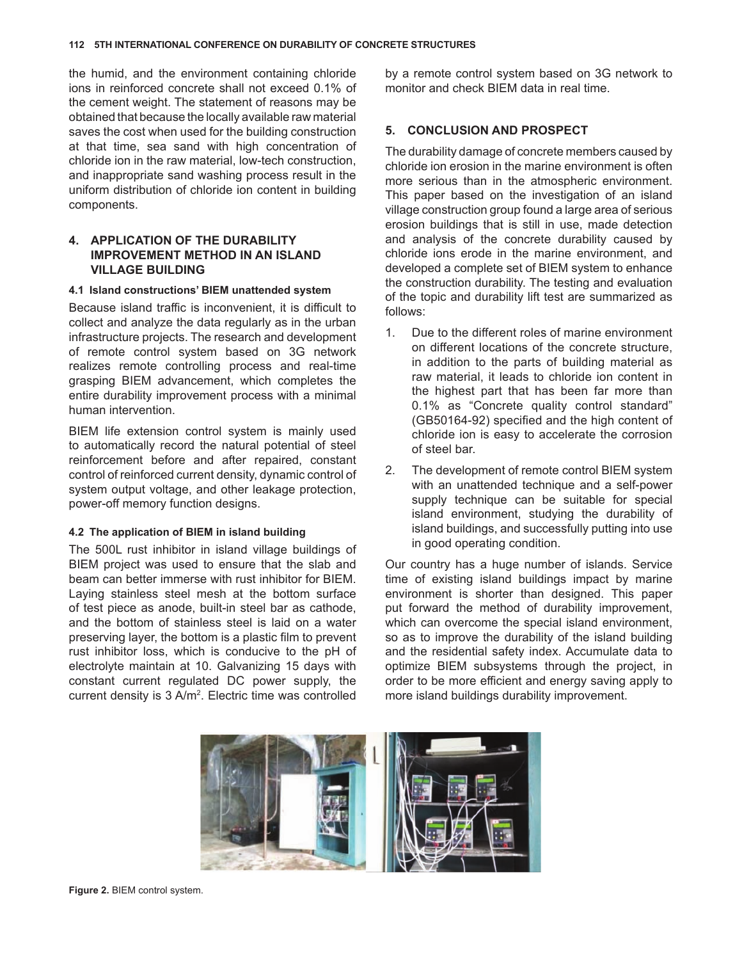the humid, and the environment containing chloride ions in reinforced concrete shall not exceed 0.1% of the cement weight. The statement of reasons may be obtained that because the locally available raw material saves the cost when used for the building construction at that time, sea sand with high concentration of chloride ion in the raw material, low-tech construction, and inappropriate sand washing process result in the uniform distribution of chloride ion content in building components.

# **4. APPLICATION OF THE DURABILITY IMPROVEMENT METHOD IN AN ISLAND VILLAGE BUILDING**

#### **4.1 Island constructions' BIEM unattended system**

Because island traffic is inconvenient, it is difficult to collect and analyze the data regularly as in the urban infrastructure projects. The research and development of remote control system based on 3G network realizes remote controlling process and real-time grasping BIEM advancement, which completes the entire durability improvement process with a minimal human intervention.

BIEM life extension control system is mainly used to automatically record the natural potential of steel reinforcement before and after repaired, constant control of reinforced current density, dynamic control of system output voltage, and other leakage protection, power-off memory function designs.

## **4.2 The application of BIEM in island building**

The 500L rust inhibitor in island village buildings of BIEM project was used to ensure that the slab and beam can better immerse with rust inhibitor for BIEM. Laying stainless steel mesh at the bottom surface of test piece as anode, built-in steel bar as cathode, and the bottom of stainless steel is laid on a water preserving layer, the bottom is a plastic film to prevent rust inhibitor loss, which is conducive to the pH of electrolyte maintain at 10. Galvanizing 15 days with constant current regulated DC power supply, the current density is 3 A/m<sup>2</sup>. Electric time was controlled by a remote control system based on 3G network to monitor and check BIEM data in real time.

# **5. CONCLUSION AND PROSPECT**

The durability damage of concrete members caused by chloride ion erosion in the marine environment is often more serious than in the atmospheric environment. This paper based on the investigation of an island village construction group found a large area of serious erosion buildings that is still in use, made detection and analysis of the concrete durability caused by chloride ions erode in the marine environment, and developed a complete set of BIEM system to enhance the construction durability. The testing and evaluation of the topic and durability lift test are summarized as follows:

- 1. Due to the different roles of marine environment on different locations of the concrete structure, in addition to the parts of building material as raw material, it leads to chloride ion content in the highest part that has been far more than 0.1% as "Concrete quality control standard" (GB50164-92) specified and the high content of chloride ion is easy to accelerate the corrosion of steel bar.
- 2. The development of remote control BIEM system with an unattended technique and a self-power supply technique can be suitable for special island environment, studying the durability of island buildings, and successfully putting into use in good operating condition.

Our country has a huge number of islands. Service time of existing island buildings impact by marine environment is shorter than designed. This paper put forward the method of durability improvement, which can overcome the special island environment, so as to improve the durability of the island building and the residential safety index. Accumulate data to optimize BIEM subsystems through the project, in order to be more efficient and energy saving apply to more island buildings durability improvement.



**Figure 2.** BIEM control system.